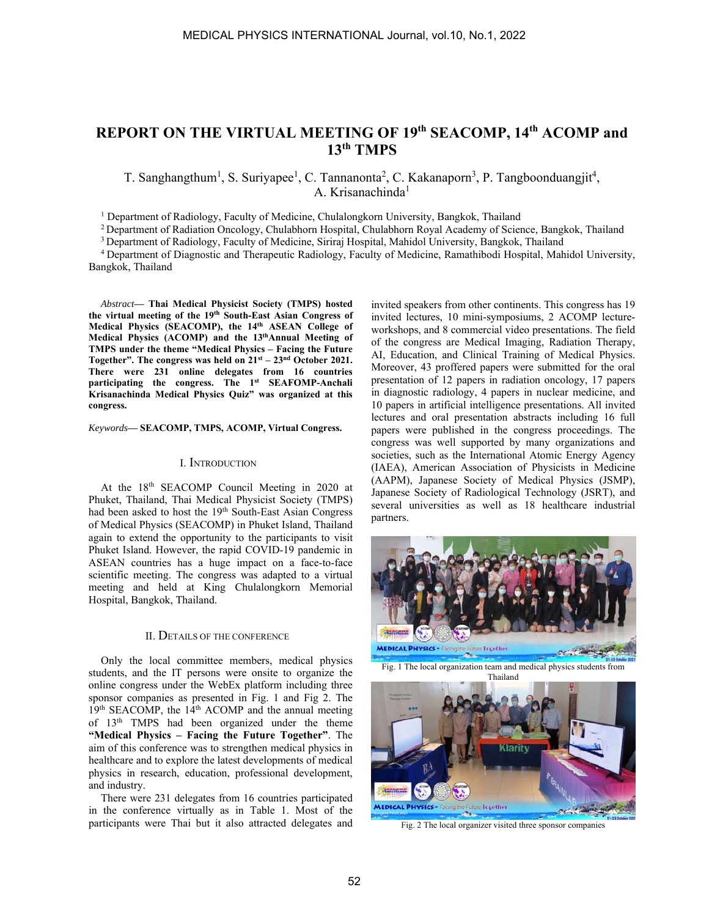# **REPORT ON THE VIRTUAL MEETING OF 19th SEACOMP, 14th ACOMP and 13th TMPS**

T. Sanghangthum<sup>1</sup>, S. Suriyapee<sup>1</sup>, C. Tannanonta<sup>2</sup>, C. Kakanaporn<sup>3</sup>, P. Tangboonduangjit<sup>4</sup>, A. Krisanachinda<sup>1</sup>

<sup>1</sup> Department of Radiology, Faculty of Medicine, Chulalongkorn University, Bangkok, Thailand

<sup>2</sup> Department of Radiation Oncology, Chulabhorn Hospital, Chulabhorn Royal Academy of Science, Bangkok, Thailand<br><sup>3</sup> Department of Radiology, Faculty of Medicine, Siriraj Hospital, Mahidol University, Bangkok, Thailand<br><sup>4</sup>

Bangkok, Thailand

*Abstract***— Thai Medical Physicist Society (TMPS) hosted the virtual meeting of the 19th South-East Asian Congress of**  Medical Physics (SEACOMP), the 14<sup>th</sup> ASEAN College of **Medical Physics (ACOMP) and the 13thAnnual Meeting of TMPS under the theme "Medical Physics – Facing the Future Together". The congress was held on 21st – 23nd October 2021. There were 231 online delegates from 16 countries participating the congress. The 1st SEAFOMP-Anchali Krisanachinda Medical Physics Quiz" was organized at this congress.** 

*Keywords***— SEACOMP, TMPS, ACOMP, Virtual Congress.** 

### I. INTRODUCTION

At the 18<sup>th</sup> SEACOMP Council Meeting in 2020 at Phuket, Thailand, Thai Medical Physicist Society (TMPS) had been asked to host the 19<sup>th</sup> South-East Asian Congress of Medical Physics (SEACOMP) in Phuket Island, Thailand again to extend the opportunity to the participants to visit Phuket Island. However, the rapid COVID-19 pandemic in ASEAN countries has a huge impact on a face-to-face scientific meeting. The congress was adapted to a virtual meeting and held at King Chulalongkorn Memorial Hospital, Bangkok, Thailand.

## II. DETAILS OF THE CONFERENCE

Only the local committee members, medical physics students, and the IT persons were onsite to organize the online congress under the WebEx platform including three sponsor companies as presented in Fig. 1 and Fig 2. The  $19<sup>th</sup>$  SEACOMP, the  $14<sup>th</sup>$  ACOMP and the annual meeting of 13<sup>th</sup> TMPS had been organized under the theme **"Medical Physics – Facing the Future Together"**. The aim of this conference was to strengthen medical physics in healthcare and to explore the latest developments of medical physics in research, education, professional development, and industry.

There were 231 delegates from 16 countries participated in the conference virtually as in Table 1. Most of the participants were Thai but it also attracted delegates and invited speakers from other continents. This congress has 19 invited lectures, 10 mini-symposiums, 2 ACOMP lectureworkshops, and 8 commercial video presentations. The field of the congress are Medical Imaging, Radiation Therapy, AI, Education, and Clinical Training of Medical Physics. Moreover, 43 proffered papers were submitted for the oral presentation of 12 papers in radiation oncology, 17 papers in diagnostic radiology, 4 papers in nuclear medicine, and 10 papers in artificial intelligence presentations. All invited lectures and oral presentation abstracts including 16 full papers were published in the congress proceedings. The congress was well supported by many organizations and societies, such as the International Atomic Energy Agency (IAEA), American Association of Physicists in Medicine (AAPM), Japanese Society of Medical Physics (JSMP), Japanese Society of Radiological Technology (JSRT), and several universities as well as 18 healthcare industrial partners.



Fig. 1 The local organization team and medical physics students from Thailand



Fig. 2 The local organizer visited three sponsor companies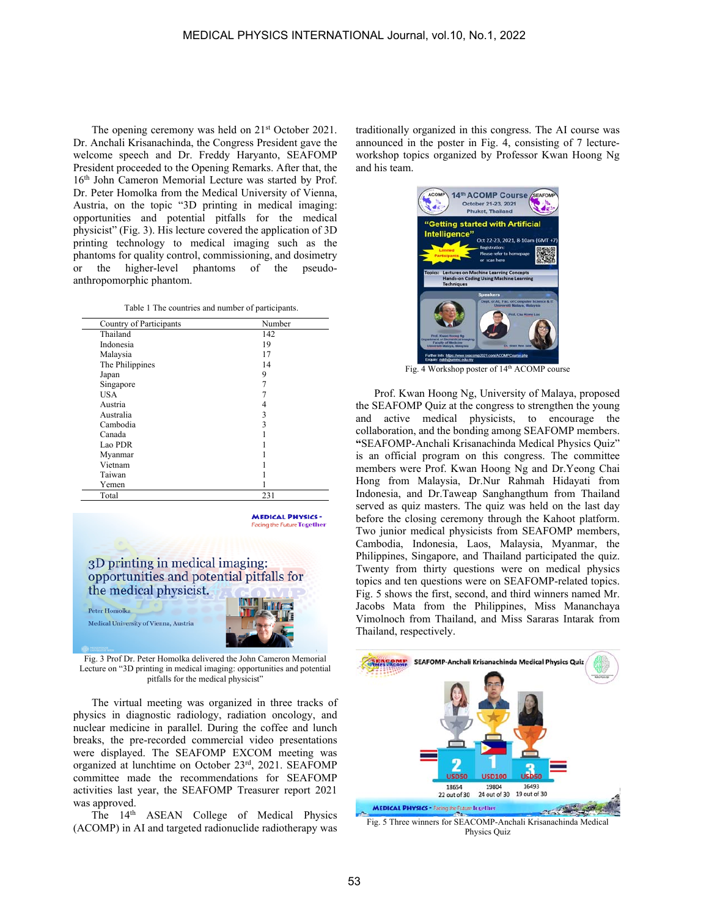The opening ceremony was held on  $21<sup>st</sup>$  October 2021. Dr. Anchali Krisanachinda, the Congress President gave the welcome speech and Dr. Freddy Haryanto, SEAFOMP President proceeded to the Opening Remarks. After that, the 16th John Cameron Memorial Lecture was started by Prof. Dr. Peter Homolka from the Medical University of Vienna, Austria, on the topic "3D printing in medical imaging: opportunities and potential pitfalls for the medical physicist" (Fig. 3). His lecture covered the application of 3D printing technology to medical imaging such as the phantoms for quality control, commissioning, and dosimetry or the higher-level phantoms of the pseudoanthropomorphic phantom.

| Country of Participants | Number |
|-------------------------|--------|
| Thailand                | 142    |
| Indonesia               | 19     |
| Malaysia                | 17     |
| The Philippines         | 14     |
| Japan                   | 9      |
| Singapore               | 7      |
| <b>USA</b>              |        |
| Austria                 |        |
| Australia               | 3      |
| Cambodia                | 3      |
| Canada                  |        |
| Lao PDR                 |        |
| Myanmar                 |        |
| Vietnam                 |        |
| Taiwan                  |        |
| Yemen                   |        |
| Total                   | 231    |

**MEDICAL PHYSICS** ting the Future **Together** 

3D printing in medical imaging: opportunities and potential pitfalls for the medical physicist. Peter Homolka Medical University of Vienna, Austria

Fig. 3 Prof Dr. Peter Homolka delivered the John Cameron Memorial Lecture on "3D printing in medical imaging: opportunities and potential pitfalls for the medical physicist"

 The virtual meeting was organized in three tracks of physics in diagnostic radiology, radiation oncology, and nuclear medicine in parallel. During the coffee and lunch breaks, the pre-recorded commercial video presentations were displayed. The SEAFOMP EXCOM meeting was organized at lunchtime on October 23rd, 2021. SEAFOMP committee made the recommendations for SEAFOMP activities last year, the SEAFOMP Treasurer report 2021 was approved.

The 14<sup>th</sup> ASEAN College of Medical Physics (ACOMP) in AI and targeted radionuclide radiotherapy was traditionally organized in this congress. The AI course was announced in the poster in Fig. 4, consisting of 7 lectureworkshop topics organized by Professor Kwan Hoong Ng and his team.



Fig. 4 Workshop poster of 14th ACOMP course

 Prof. Kwan Hoong Ng, University of Malaya, proposed the SEAFOMP Quiz at the congress to strengthen the young and active medical physicists, to encourage the collaboration, and the bonding among SEAFOMP members. **"**SEAFOMP-Anchali Krisanachinda Medical Physics Quiz" is an official program on this congress. The committee members were Prof. Kwan Hoong Ng and Dr.Yeong Chai Hong from Malaysia, Dr.Nur Rahmah Hidayati from Indonesia, and Dr.Taweap Sanghangthum from Thailand served as quiz masters. The quiz was held on the last day before the closing ceremony through the Kahoot platform. Two junior medical physicists from SEAFOMP members, Cambodia, Indonesia, Laos, Malaysia, Myanmar, the Philippines, Singapore, and Thailand participated the quiz. Twenty from thirty questions were on medical physics topics and ten questions were on SEAFOMP-related topics. Fig. 5 shows the first, second, and third winners named Mr. Jacobs Mata from the Philippines, Miss Mananchaya Vimolnoch from Thailand, and Miss Sararas Intarak from Thailand, respectively.



Physics Quiz